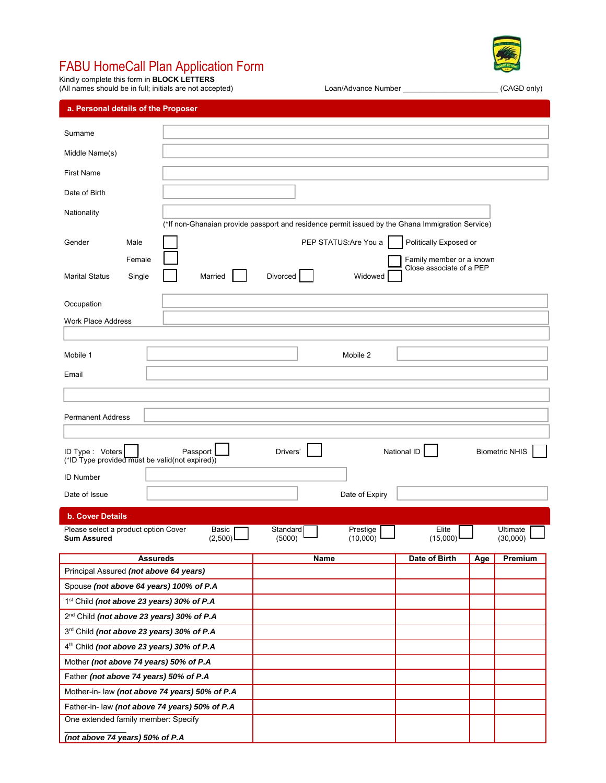# FABU HomeCall Plan Application Form

Kindly complete this form in **BLOCK LETTERS**

**a. Personal details of the Proposer** 

Spouse *(not above 64 years) 100% of P.A* 1st Child *(not above 23 years) 30% of P.A* 2nd Child *(not above 23 years) 30% of P.A* 3rd Child *(not above 23 years) 30% of P.A* 4th Child *(not above 23 years) 30% of P.A* Mother *(not above 74 years) 50% of P.A* Father *(not above 74 years) 50% of P.A* Mother-in- law *(not above 74 years) 50% of P.A* Father-in- law *(not above 74 years) 50% of P.A*

One extended family member: Specify

*(not above 74 years) 50% of P.A*

 $\mathcal{L}_\text{max}$  and  $\mathcal{L}_\text{max}$ 

(All names should be in full; initials are not accepted) Loan/Advance Number \_\_\_\_\_\_\_\_\_\_\_\_\_\_\_\_\_\_\_\_\_\_\_ (CAGD only)

| Surname               |        |                                                                                                  |
|-----------------------|--------|--------------------------------------------------------------------------------------------------|
|                       |        |                                                                                                  |
| Middle Name(s)        |        |                                                                                                  |
| <b>First Name</b>     |        |                                                                                                  |
|                       |        |                                                                                                  |
| Date of Birth         |        |                                                                                                  |
|                       |        |                                                                                                  |
| Nationality           |        |                                                                                                  |
|                       |        | (*If non-Ghanaian provide passport and residence permit issued by the Ghana Immigration Service) |
| Gender                | Male   | PEP STATUS: Are You a<br>Politically Exposed or                                                  |
|                       | Female | Family member or a knowr                                                                         |
| <b>Marital Status</b> | Single | Close associate of a PEP<br>Married<br>Divorced<br>Widowed                                       |
| Occupation            |        |                                                                                                  |
|                       |        |                                                                                                  |

| <b>Marital Status</b><br>Single                                    | Married          | Divorced           | Widowed              |                   |                       |
|--------------------------------------------------------------------|------------------|--------------------|----------------------|-------------------|-----------------------|
| Occupation                                                         |                  |                    |                      |                   |                       |
| <b>Work Place Address</b>                                          |                  |                    |                      |                   |                       |
|                                                                    |                  |                    |                      |                   |                       |
| Mobile 1                                                           |                  |                    | Mobile 2             |                   |                       |
| Email                                                              |                  |                    |                      |                   |                       |
|                                                                    |                  |                    |                      |                   |                       |
|                                                                    |                  |                    |                      |                   |                       |
| <b>Permanent Address</b>                                           |                  |                    |                      |                   |                       |
|                                                                    |                  |                    |                      |                   |                       |
| ID Type : Voters<br>(*ID Type provided must be valid(not expired)) | Passport         | Drivers'           |                      | National ID       | <b>Biometric NHIS</b> |
| <b>ID Number</b>                                                   |                  |                    |                      |                   |                       |
| Date of Issue                                                      |                  |                    | Date of Expiry       |                   |                       |
| <b>b. Cover Details</b>                                            |                  |                    |                      |                   |                       |
| Please select a product option Cover<br><b>Sum Assured</b>         | Basic<br>(2,500) | Standard<br>(5000) | Prestige<br>(10,000) | Elite<br>(15,000) | Ultimate<br>(30,000)  |
|                                                                    | <b>Assureds</b>  | <b>Name</b>        |                      | Date of Birth     | Premium<br>Age        |
| Principal Assured (not above 64 years)                             |                  |                    |                      |                   |                       |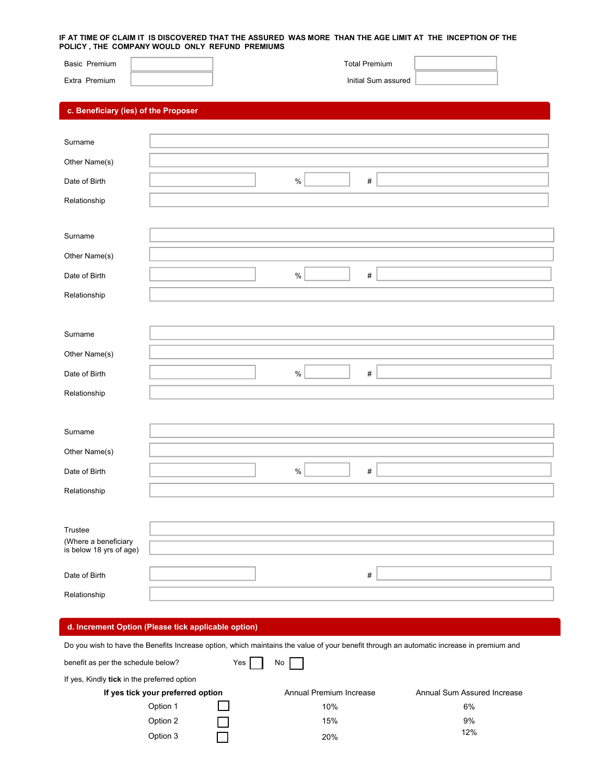#### **IF AT TIME OF CLAIM IT IS DISCOVERED THAT THE ASSURED WAS MORE THAN THE AGE LIMIT AT THE INCEPTION OF THE POLICY , THE COMPANY WOULD ONLY REFUND PREMIUMS**

| Basic Premium<br>Extra Premium                  |  |      | <b>Total Premium</b><br>Initial Sum assured |  |
|-------------------------------------------------|--|------|---------------------------------------------|--|
| c. Beneficiary (ies) of the Proposer            |  |      |                                             |  |
| Surname                                         |  |      |                                             |  |
|                                                 |  |      |                                             |  |
| Other Name(s)                                   |  |      |                                             |  |
| Date of Birth                                   |  | $\%$ | #                                           |  |
| Relationship                                    |  |      |                                             |  |
|                                                 |  |      |                                             |  |
| Surname                                         |  |      |                                             |  |
| Other Name(s)                                   |  |      |                                             |  |
| Date of Birth                                   |  | $\%$ | #                                           |  |
| Relationship                                    |  |      |                                             |  |
|                                                 |  |      |                                             |  |
| Surname                                         |  |      |                                             |  |
| Other Name(s)                                   |  |      |                                             |  |
| Date of Birth                                   |  | $\%$ | #                                           |  |
| Relationship                                    |  |      |                                             |  |
|                                                 |  |      |                                             |  |
| Surname                                         |  |      |                                             |  |
| Other Name(s)                                   |  |      |                                             |  |
| Date of Birth                                   |  | $\%$ | $\#$                                        |  |
| Relationship                                    |  |      |                                             |  |
|                                                 |  |      |                                             |  |
| Trustee                                         |  |      |                                             |  |
| (Where a beneficiary<br>is below 18 yrs of age) |  |      |                                             |  |
|                                                 |  |      |                                             |  |
| Date of Birth                                   |  |      | #                                           |  |
| Relationship                                    |  |      |                                             |  |

### **d. Increment Option (Please tick applicable option)**

Do you wish to have the Benefits Increase option, which maintains the value of your benefit through an automatic increase in premium and

| benefit as per the schedule below?          | Yes | No                      |                             |
|---------------------------------------------|-----|-------------------------|-----------------------------|
| If yes, Kindly tick in the preferred option |     |                         |                             |
| If yes tick your preferred option           |     | Annual Premium Increase | Annual Sum Assured Increase |
| Option 1                                    |     | 10%                     | 6%                          |
| Option 2                                    |     | 15%                     | 9%                          |
| Option 3                                    |     | 20%                     | 12%                         |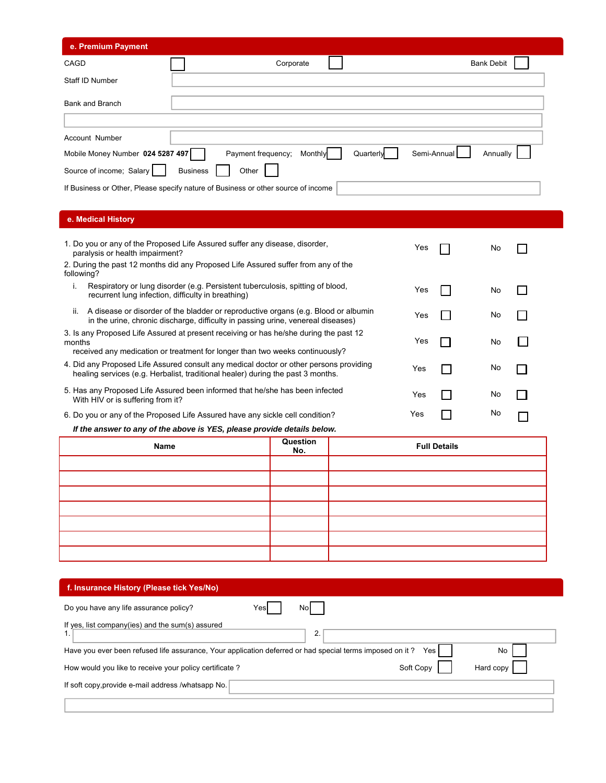| e. Premium Payment                                                                |                 |                    |         |           |             |                   |
|-----------------------------------------------------------------------------------|-----------------|--------------------|---------|-----------|-------------|-------------------|
| CAGD                                                                              |                 | Corporate          |         |           |             | <b>Bank Debit</b> |
| Staff ID Number                                                                   |                 |                    |         |           |             |                   |
| Bank and Branch                                                                   |                 |                    |         |           |             |                   |
|                                                                                   |                 |                    |         |           |             |                   |
| Account Number                                                                    |                 |                    |         |           |             |                   |
| Mobile Money Number 024 5287 497                                                  |                 | Payment frequency; | Monthly | Quarterly | Semi-Annual | Annually          |
| Source of income; Salary                                                          | <b>Business</b> | Other              |         |           |             |                   |
| If Business or Other, Please specify nature of Business or other source of income |                 |                    |         |           |             |                   |

## **e. Medical History**

| 1. Do you or any of the Proposed Life Assured suffer any disease, disorder,<br>paralysis or health impairment?                                                                  | Yes | No |  |
|---------------------------------------------------------------------------------------------------------------------------------------------------------------------------------|-----|----|--|
| 2. During the past 12 months did any Proposed Life Assured suffer from any of the<br>following?                                                                                 |     |    |  |
| Respiratory or lung disorder (e.g. Persistent tuberculosis, spitting of blood,<br>recurrent lung infection, difficulty in breathing)                                            | Yes | No |  |
| A disease or disorder of the bladder or reproductive organs (e.g. Blood or albumin<br>ii.<br>in the urine, chronic discharge, difficulty in passing urine, venereal diseases)   | Yes | No |  |
| 3. Is any Proposed Life Assured at present receiving or has he/she during the past 12<br>months<br>received any medication or treatment for longer than two weeks continuously? | Yes | No |  |
| 4. Did any Proposed Life Assured consult any medical doctor or other persons providing<br>healing services (e.g. Herbalist, traditional healer) during the past 3 months.       | Yes | No |  |
| 5. Has any Proposed Life Assured been informed that he/she has been infected<br>With HIV or is suffering from it?                                                               | Yes | No |  |
| 6. Do you or any of the Proposed Life Assured have any sickle cell condition?                                                                                                   | Yes | No |  |

 *If the answer to any of the above is YES, please provide details below.* 

| Name | Question<br>No. | <b>Full Details</b> |
|------|-----------------|---------------------|
|      |                 |                     |
|      |                 |                     |
|      |                 |                     |
|      |                 |                     |
|      |                 |                     |
|      |                 |                     |
|      |                 |                     |

| f. Insurance History (Please tick Yes/No)                                                                               |
|-------------------------------------------------------------------------------------------------------------------------|
| Do you have any life assurance policy?<br>Nol<br>Yesl                                                                   |
| If yes, list company (ies) and the sum (s) assured<br>2.                                                                |
| Have you ever been refused life assurance, Your application deferred or had special terms imposed on it?<br>No<br>Yes I |
| Soft Copy<br>How would you like to receive your policy certificate?<br>Hard copy                                        |
| If soft copy, provide e-mail address /whatsapp No.                                                                      |
|                                                                                                                         |